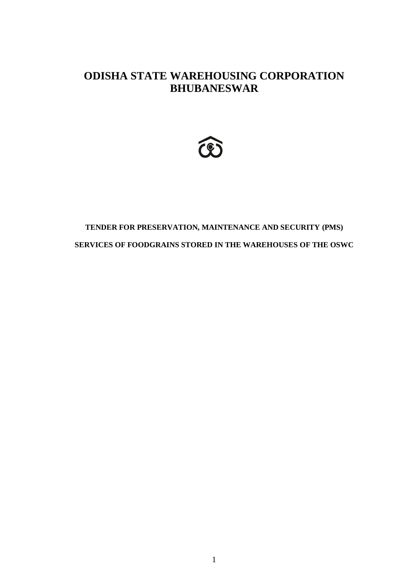# **ODISHA STATE WAREHOUSING CORPORATION BHUBANESWAR**



# **TENDER FOR PRESERVATION, MAINTENANCE AND SECURITY (PMS) SERVICES OF FOODGRAINS STORED IN THE WAREHOUSES OF THE OSWC**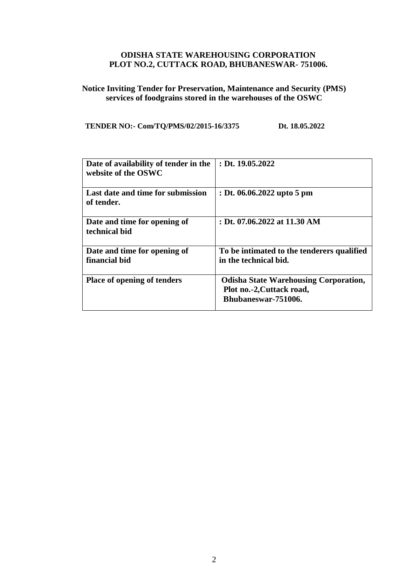## **ODISHA STATE WAREHOUSING CORPORATION PLOT NO.2, CUTTACK ROAD, BHUBANESWAR- 751006.**

## **Notice Inviting Tender for Preservation, Maintenance and Security (PMS) services of foodgrains stored in the warehouses of the OSWC**

## **TENDER NO:- Com/TQ/PMS/02/2015-16/3375 Dt. 18.05.2022**

| Date of availability of tender in the<br>website of the OSWC | : Dt. $19.05.2022$                                                                               |
|--------------------------------------------------------------|--------------------------------------------------------------------------------------------------|
| Last date and time for submission<br>of tender.              | : Dt. 06.06.2022 upto 5 pm                                                                       |
| Date and time for opening of<br>technical bid                | : Dt. 07.06.2022 at 11.30 AM                                                                     |
| Date and time for opening of<br>financial bid                | To be intimated to the tenderers qualified<br>in the technical bid.                              |
| <b>Place of opening of tenders</b>                           | <b>Odisha State Warehousing Corporation,</b><br>Plot no.-2, Cuttack road,<br>Bhubaneswar-751006. |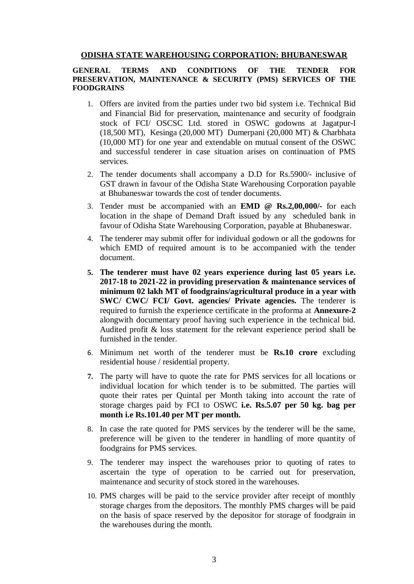#### **ODISHA STATE WAREHOUSING CORPORATION: BHUBANESWAR**

#### **GENERAL TERMS AND CONDITIONS OF THE TENDER FOR PRESERVATION, MAINTENANCE & SECURITY (PMS) SERVICES OF THE FOODGRAINS**

- 1. Offers are invited from the parties under two bid system i.e. Technical Bid and Financial Bid for preservation, maintenance and security of foodgrain stock of FCI/ OSCSC Ltd. stored in OSWC godowns at Jagatpur-I (18,500 MT), Kesinga (20,000 MT) Dumerpani (20,000 MT) & Charbhata (10,000 MT) for one year and extendable on mutual consent of the OSWC and successful tenderer in case situation arises on continuation of PMS services.
- 2. The tender documents shall accompany a D.D for Rs.5900/- inclusive of GST drawn in favour of the Odisha State Warehousing Corporation payable at Bhubaneswar towards the cost of tender documents.
- 3. Tender must be accompanied with an **EMD @ Rs.2,00,000/-** for each location in the shape of Demand Draft issued by any scheduled bank in favour of Odisha State Warehousing Corporation, payable at Bhubaneswar.
- 4. The tenderer may submit offer for individual godown or all the godowns for which EMD of required amount is to be accompanied with the tender document.
- **5. The tenderer must have 02 years experience during last 05 years i.e. 2017-18 to 2021-22 in providing preservation & maintenance services of minimum 02 lakh MT of foodgrains/agricultural produce in a year with SWC/ CWC/ FCI/ Govt. agencies/ Private agencies.** The tenderer is required to furnish the experience certificate in the proforma at **Annexure-2** alongwith documentary proof having such experience in the technical bid. Audited profit & loss statement for the relevant experience period shall be furnished in the tender.
- 6. Minimum net worth of the tenderer must be **Rs.10 crore** excluding residential house / residential property.
- **7.** The party will have to quote the rate for PMS services for all locations or individual location for which tender is to be submitted. The parties will quote their rates per Quintal per Month taking into account the rate of storage charges paid by FCI to OSWC **i.e. Rs.5.07 per 50 kg. bag per month i.e Rs.101.40 per MT per month.**
- 8. In case the rate quoted for PMS services by the tenderer will be the same, preference will be given to the tenderer in handling of more quantity of foodgrains for PMS services.
- 9. The tenderer may inspect the warehouses prior to quoting of rates to ascertain the type of operation to be carried out for preservation, maintenance and security of stock stored in the warehouses.
- 10. PMS charges will be paid to the service provider after receipt of monthly storage charges from the depositors. The monthly PMS charges will be paid on the basis of space reserved by the depositor for storage of foodgrain in the warehouses during the month.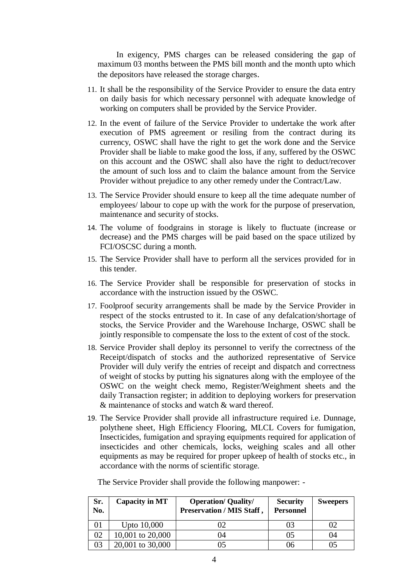In exigency, PMS charges can be released considering the gap of maximum 03 months between the PMS bill month and the month upto which the depositors have released the storage charges.

- 11. It shall be the responsibility of the Service Provider to ensure the data entry on daily basis for which necessary personnel with adequate knowledge of working on computers shall be provided by the Service Provider.
- 12. In the event of failure of the Service Provider to undertake the work after execution of PMS agreement or resiling from the contract during its currency, OSWC shall have the right to get the work done and the Service Provider shall be liable to make good the loss, if any, suffered by the OSWC on this account and the OSWC shall also have the right to deduct/recover the amount of such loss and to claim the balance amount from the Service Provider without prejudice to any other remedy under the Contract/Law.
- 13. The Service Provider should ensure to keep all the time adequate number of employees/ labour to cope up with the work for the purpose of preservation, maintenance and security of stocks.
- 14. The volume of foodgrains in storage is likely to fluctuate (increase or decrease) and the PMS charges will be paid based on the space utilized by FCI/OSCSC during a month.
- 15. The Service Provider shall have to perform all the services provided for in this tender.
- 16. The Service Provider shall be responsible for preservation of stocks in accordance with the instruction issued by the OSWC.
- 17. Foolproof security arrangements shall be made by the Service Provider in respect of the stocks entrusted to it. In case of any defalcation/shortage of stocks, the Service Provider and the Warehouse Incharge, OSWC shall be jointly responsible to compensate the loss to the extent of cost of the stock.
- 18. Service Provider shall deploy its personnel to verify the correctness of the Receipt/dispatch of stocks and the authorized representative of Service Provider will duly verify the entries of receipt and dispatch and correctness of weight of stocks by putting his signatures along with the employee of the OSWC on the weight check memo, Register/Weighment sheets and the daily Transaction register; in addition to deploying workers for preservation & maintenance of stocks and watch & ward thereof.
- 19. The Service Provider shall provide all infrastructure required i.e. Dunnage, polythene sheet, High Efficiency Flooring, MLCL Covers for fumigation, Insecticides, fumigation and spraying equipments required for application of insecticides and other chemicals, locks, weighing scales and all other equipments as may be required for proper upkeep of health of stocks etc., in accordance with the norms of scientific storage.

| Sr.<br>No. | <b>Capacity in MT</b> | <b>Operation/ Quality/</b><br>Preservation / MIS Staff, | <b>Security</b><br><b>Personnel</b> | <b>Sweepers</b> |
|------------|-----------------------|---------------------------------------------------------|-------------------------------------|-----------------|
| 01         | Upto 10,000           |                                                         | 03                                  | 02              |
| 02         | 10,001 to 20,000      | 14                                                      | 05                                  | 04              |
| 03         | 20,001 to 30,000      |                                                         | 06                                  | 05              |

The Service Provider shall provide the following manpower: -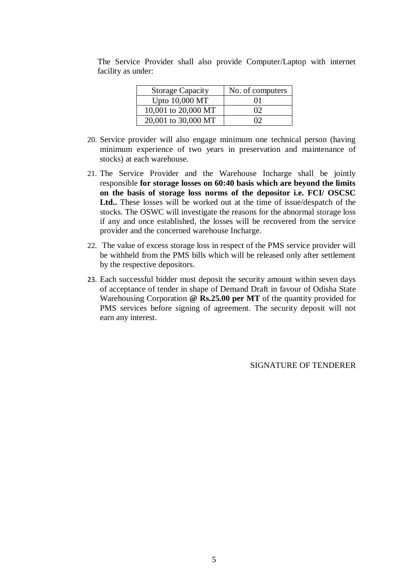| <b>Storage Capacity</b> | No. of computers |
|-------------------------|------------------|
| Upto 10,000 MT          | 01               |
| 10,001 to 20,000 MT     | $\Omega$         |
| 20,001 to 30,000 MT     | ΩĐ               |

The Service Provider shall also provide Computer/Laptop with internet facility as under:

- 20. Service provider will also engage minimum one technical person (having minimum experience of two years in preservation and maintenance of stocks) at each warehouse.
- 21. The Service Provider and the Warehouse Incharge shall be jointly responsible **for storage losses on 60:40 basis which are beyond the limits on the basis of storage loss norms of the depositor i.e. FCI/ OSCSC Ltd..** These losses will be worked out at the time of issue/despatch of the stocks. The OSWC will investigate the reasons for the abnormal storage loss if any and once established, the losses will be recovered from the service provider and the concerned warehouse Incharge.
- 22. The value of excess storage loss in respect of the PMS service provider will be withheld from the PMS bills which will be released only after settlement by the respective depositors.
- 23. Each successful bidder must deposit the security amount within seven days of acceptance of tender in shape of Demand Draft in favour of Odisha State Warehousing Corporation **@ Rs.25.00 per MT** of the quantity provided for PMS services before signing of agreement. The security deposit will not earn any interest.

SIGNATURE OF TENDERER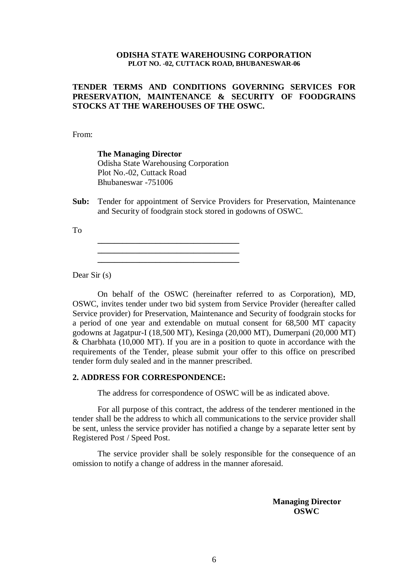#### **ODISHA STATE WAREHOUSING CORPORATION PLOT NO. -02, CUTTACK ROAD, BHUBANESWAR-06**

## **TENDER TERMS AND CONDITIONS GOVERNING SERVICES FOR PRESERVATION, MAINTENANCE & SECURITY OF FOODGRAINS STOCKS AT THE WAREHOUSES OF THE OSWC.**

From:

**The Managing Director** Odisha State Warehousing Corporation Plot No.-02, Cuttack Road Bhubaneswar -751006

**\_\_\_\_\_\_\_\_\_\_\_\_\_\_\_\_\_\_\_\_\_\_\_\_\_\_\_\_\_\_\_\_\_\_ \_\_\_\_\_\_\_\_\_\_\_\_\_\_\_\_\_\_\_\_\_\_\_\_\_\_\_\_\_\_\_\_\_\_** 

**Sub:** Tender for appointment of Service Providers for Preservation, Maintenance and Security of foodgrain stock stored in godowns of OSWC.

To

Dear Sir (s)

On behalf of the OSWC (hereinafter referred to as Corporation), MD, OSWC, invites tender under two bid system from Service Provider (hereafter called Service provider) for Preservation, Maintenance and Security of foodgrain stocks for a period of one year and extendable on mutual consent for 68,500 MT capacity godowns at Jagatpur-I (18,500 MT), Kesinga (20,000 MT), Dumerpani (20,000 MT) & Charbhata (10,000 MT). If you are in a position to quote in accordance with the requirements of the Tender, please submit your offer to this office on prescribed tender form duly sealed and in the manner prescribed.

#### **2. ADDRESS FOR CORRESPONDENCE:**

The address for correspondence of OSWC will be as indicated above.

For all purpose of this contract, the address of the tenderer mentioned in the tender shall be the address to which all communications to the service provider shall be sent, unless the service provider has notified a change by a separate letter sent by Registered Post / Speed Post.

The service provider shall be solely responsible for the consequence of an omission to notify a change of address in the manner aforesaid.

> **Managing Director OSWC**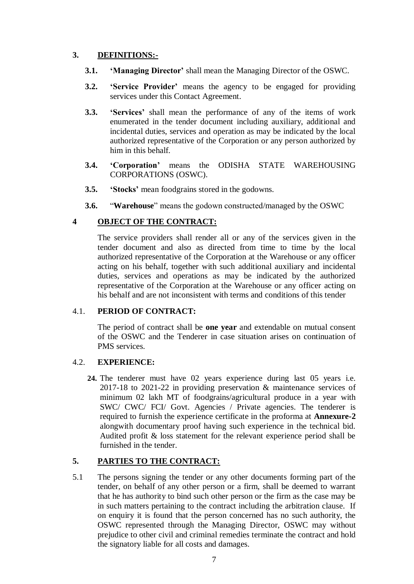## **3. DEFINITIONS:-**

- **3.1. 'Managing Director'** shall mean the Managing Director of the OSWC.
- **3.2. 'Service Provider'** means the agency to be engaged for providing services under this Contact Agreement.
- **3.3. 'Services'** shall mean the performance of any of the items of work enumerated in the tender document including auxiliary, additional and incidental duties, services and operation as may be indicated by the local authorized representative of the Corporation or any person authorized by him in this behalf.
- **3.4. 'Corporation'** means the ODISHA STATE WAREHOUSING CORPORATIONS (OSWC).
- **3.5. 'Stocks'** mean foodgrains stored in the godowns.
- **3.6.** "**Warehouse**" means the godown constructed/managed by the OSWC

## **4 OBJECT OF THE CONTRACT:**

The service providers shall render all or any of the services given in the tender document and also as directed from time to time by the local authorized representative of the Corporation at the Warehouse or any officer acting on his behalf, together with such additional auxiliary and incidental duties, services and operations as may be indicated by the authorized representative of the Corporation at the Warehouse or any officer acting on his behalf and are not inconsistent with terms and conditions of this tender

## 4.1. **PERIOD OF CONTRACT:**

The period of contract shall be **one year** and extendable on mutual consent of the OSWC and the Tenderer in case situation arises on continuation of PMS services.

#### 4.2. **EXPERIENCE:**

**24.** The tenderer must have 02 years experience during last 05 years i.e. 2017-18 to 2021-22 in providing preservation & maintenance services of minimum 02 lakh MT of foodgrains/agricultural produce in a year with SWC/ CWC/ FCI/ Govt. Agencies / Private agencies. The tenderer is required to furnish the experience certificate in the proforma at **Annexure-2** alongwith documentary proof having such experience in the technical bid. Audited profit & loss statement for the relevant experience period shall be furnished in the tender.

## **5. PARTIES TO THE CONTRACT:**

5.1 The persons signing the tender or any other documents forming part of the tender, on behalf of any other person or a firm, shall be deemed to warrant that he has authority to bind such other person or the firm as the case may be in such matters pertaining to the contract including the arbitration clause. If on enquiry it is found that the person concerned has no such authority, the OSWC represented through the Managing Director, OSWC may without prejudice to other civil and criminal remedies terminate the contract and hold the signatory liable for all costs and damages.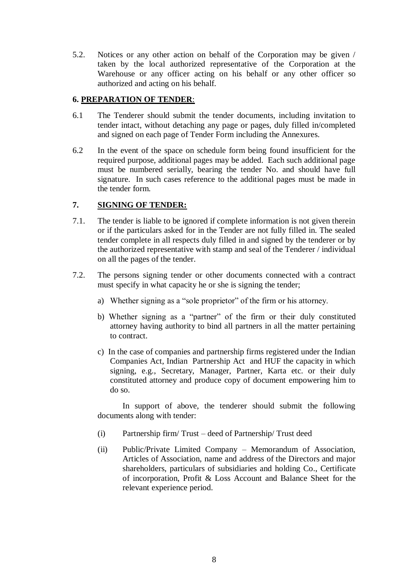5.2. Notices or any other action on behalf of the Corporation may be given / taken by the local authorized representative of the Corporation at the Warehouse or any officer acting on his behalf or any other officer so authorized and acting on his behalf.

## **6. PREPARATION OF TENDER**:

- 6.1 The Tenderer should submit the tender documents, including invitation to tender intact, without detaching any page or pages, duly filled in/completed and signed on each page of Tender Form including the Annexures.
- 6.2 In the event of the space on schedule form being found insufficient for the required purpose, additional pages may be added. Each such additional page must be numbered serially, bearing the tender No. and should have full signature. In such cases reference to the additional pages must be made in the tender form.

## **7. SIGNING OF TENDER:**

- 7.1. The tender is liable to be ignored if complete information is not given therein or if the particulars asked for in the Tender are not fully filled in. The sealed tender complete in all respects duly filled in and signed by the tenderer or by the authorized representative with stamp and seal of the Tenderer / individual on all the pages of the tender.
- 7.2. The persons signing tender or other documents connected with a contract must specify in what capacity he or she is signing the tender;
	- a) Whether signing as a "sole proprietor" of the firm or his attorney.
	- b) Whether signing as a "partner" of the firm or their duly constituted attorney having authority to bind all partners in all the matter pertaining to contract.
	- c) In the case of companies and partnership firms registered under the Indian Companies Act, Indian Partnership Act and HUF the capacity in which signing, e.g., Secretary, Manager, Partner, Karta etc. or their duly constituted attorney and produce copy of document empowering him to do so.

In support of above, the tenderer should submit the following documents along with tender:

- (i) Partnership firm/ Trust deed of Partnership/ Trust deed
- (ii) Public/Private Limited Company Memorandum of Association, Articles of Association, name and address of the Directors and major shareholders, particulars of subsidiaries and holding Co., Certificate of incorporation, Profit & Loss Account and Balance Sheet for the relevant experience period.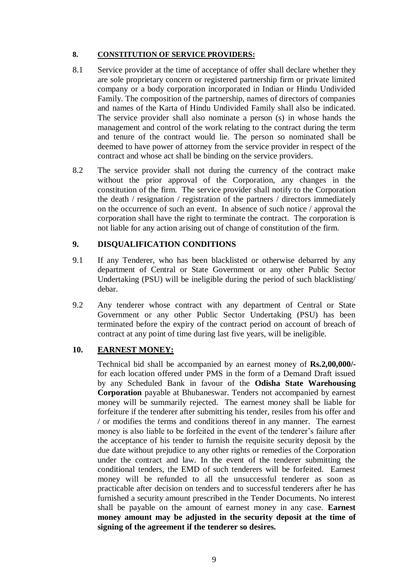## **8. CONSTITUTION OF SERVICE PROVIDERS:**

- 8.1 Service provider at the time of acceptance of offer shall declare whether they are sole proprietary concern or registered partnership firm or private limited company or a body corporation incorporated in Indian or Hindu Undivided Family. The composition of the partnership, names of directors of companies and names of the Karta of Hindu Undivided Family shall also be indicated. The service provider shall also nominate a person (s) in whose hands the management and control of the work relating to the contract during the term and tenure of the contract would lie. The person so nominated shall be deemed to have power of attorney from the service provider in respect of the contract and whose act shall be binding on the service providers.
- 8.2 The service provider shall not during the currency of the contract make without the prior approval of the Corporation, any changes in the constitution of the firm. The service provider shall notify to the Corporation the death / resignation / registration of the partners / directors immediately on the occurrence of such an event. In absence of such notice / approval the corporation shall have the right to terminate the contract. The corporation is not liable for any action arising out of change of constitution of the firm.

## **9. DISQUALIFICATION CONDITIONS**

- 9.1 If any Tenderer, who has been blacklisted or otherwise debarred by any department of Central or State Government or any other Public Sector Undertaking (PSU) will be ineligible during the period of such blacklisting/ debar.
- 9.2 Any tenderer whose contract with any department of Central or State Government or any other Public Sector Undertaking (PSU) has been terminated before the expiry of the contract period on account of breach of contract at any point of time during last five years, will be ineligible.

## **10. EARNEST MONEY:**

Technical bid shall be accompanied by an earnest money of **Rs.2,00,000/** for each location offered under PMS in the form of a Demand Draft issued by any Scheduled Bank in favour of the **Odisha State Warehousing Corporation** payable at Bhubaneswar. Tenders not accompanied by earnest money will be summarily rejected. The earnest money shall be liable for forfeiture if the tenderer after submitting his tender, resiles from his offer and / or modifies the terms and conditions thereof in any manner. The earnest money is also liable to be forfeited in the event of the tenderer's failure after the acceptance of his tender to furnish the requisite security deposit by the due date without prejudice to any other rights or remedies of the Corporation under the contract and law. In the event of the tenderer submitting the conditional tenders, the EMD of such tenderers will be forfeited. Earnest money will be refunded to all the unsuccessful tenderer as soon as practicable after decision on tenders and to successful tenderers after he has furnished a security amount prescribed in the Tender Documents. No interest shall be payable on the amount of earnest money in any case. **Earnest money amount may be adjusted in the security deposit at the time of signing of the agreement if the tenderer so desires.**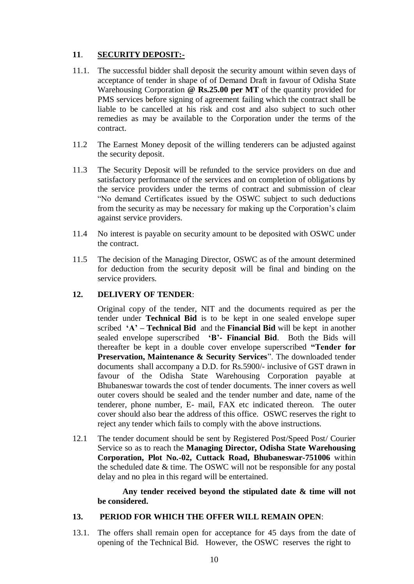## **11**. **SECURITY DEPOSIT:-**

- 11.1. The successful bidder shall deposit the security amount within seven days of acceptance of tender in shape of of Demand Draft in favour of Odisha State Warehousing Corporation **@ Rs.25.00 per MT** of the quantity provided for PMS services before signing of agreement failing which the contract shall be liable to be cancelled at his risk and cost and also subject to such other remedies as may be available to the Corporation under the terms of the contract.
- 11.2 The Earnest Money deposit of the willing tenderers can be adjusted against the security deposit.
- 11.3 The Security Deposit will be refunded to the service providers on due and satisfactory performance of the services and on completion of obligations by the service providers under the terms of contract and submission of clear "No demand Certificates issued by the OSWC subject to such deductions from the security as may be necessary for making up the Corporation's claim against service providers.
- 11.4 No interest is payable on security amount to be deposited with OSWC under the contract.
- 11.5 The decision of the Managing Director, OSWC as of the amount determined for deduction from the security deposit will be final and binding on the service providers.

## **12. DELIVERY OF TENDER**:

Original copy of the tender, NIT and the documents required as per the tender under **Technical Bid** is to be kept in one sealed envelope super scribed **'A' – Technical Bid** and the **Financial Bid** will be kept in another sealed envelope superscribed **'B'- Financial Bid**. Both the Bids will thereafter be kept in a double cover envelope superscribed **"Tender for Preservation, Maintenance & Security Services**". The downloaded tender documents shall accompany a D.D. for Rs.5900/- inclusive of GST drawn in favour of the Odisha State Warehousing Corporation payable at Bhubaneswar towards the cost of tender documents. The inner covers as well outer covers should be sealed and the tender number and date, name of the tenderer, phone number, E- mail, FAX etc indicated thereon. The outer cover should also bear the address of this office. OSWC reserves the right to reject any tender which fails to comply with the above instructions.

12.1 The tender document should be sent by Registered Post/Speed Post/ Courier Service so as to reach the **Managing Director, Odisha State Warehousing Corporation, Plot No.-02, Cuttack Road, Bhubaneswar-751006** within the scheduled date & time. The OSWC will not be responsible for any postal delay and no plea in this regard will be entertained.

**Any tender received beyond the stipulated date & time will not be considered.**

#### **13. PERIOD FOR WHICH THE OFFER WILL REMAIN OPEN**:

13.1. The offers shall remain open for acceptance for 45 days from the date of opening of the Technical Bid. However, the OSWC reserves the right to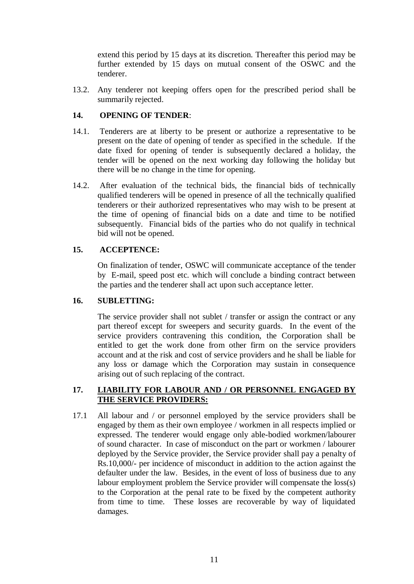extend this period by 15 days at its discretion. Thereafter this period may be further extended by 15 days on mutual consent of the OSWC and the tenderer.

13.2. Any tenderer not keeping offers open for the prescribed period shall be summarily rejected.

#### **14. OPENING OF TENDER**:

- 14.1. Tenderers are at liberty to be present or authorize a representative to be present on the date of opening of tender as specified in the schedule. If the date fixed for opening of tender is subsequently declared a holiday, the tender will be opened on the next working day following the holiday but there will be no change in the time for opening.
- 14.2. After evaluation of the technical bids, the financial bids of technically qualified tenderers will be opened in presence of all the technically qualified tenderers or their authorized representatives who may wish to be present at the time of opening of financial bids on a date and time to be notified subsequently. Financial bids of the parties who do not qualify in technical bid will not be opened.

## **15. ACCEPTENCE:**

On finalization of tender, OSWC will communicate acceptance of the tender by E-mail, speed post etc. which will conclude a binding contract between the parties and the tenderer shall act upon such acceptance letter.

#### **16. SUBLETTING:**

The service provider shall not sublet / transfer or assign the contract or any part thereof except for sweepers and security guards. In the event of the service providers contravening this condition, the Corporation shall be entitled to get the work done from other firm on the service providers account and at the risk and cost of service providers and he shall be liable for any loss or damage which the Corporation may sustain in consequence arising out of such replacing of the contract.

## **17. LIABILITY FOR LABOUR AND / OR PERSONNEL ENGAGED BY THE SERVICE PROVIDERS:**

17.1 All labour and / or personnel employed by the service providers shall be engaged by them as their own employee / workmen in all respects implied or expressed. The tenderer would engage only able-bodied workmen/labourer of sound character. In case of misconduct on the part or workmen / labourer deployed by the Service provider, the Service provider shall pay a penalty of Rs.10,000/- per incidence of misconduct in addition to the action against the defaulter under the law. Besides, in the event of loss of business due to any labour employment problem the Service provider will compensate the loss(s) to the Corporation at the penal rate to be fixed by the competent authority from time to time. These losses are recoverable by way of liquidated damages.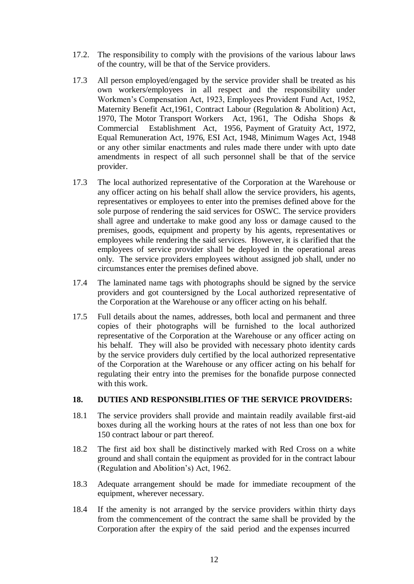- 17.2. The responsibility to comply with the provisions of the various labour laws of the country, will be that of the Service providers.
- 17.3 All person employed/engaged by the service provider shall be treated as his own workers/employees in all respect and the responsibility under Workmen's Compensation Act, 1923, Employees Provident Fund Act, 1952, Maternity Benefit Act,1961, Contract Labour (Regulation & Abolition) Act, 1970, The Motor Transport Workers Act, 1961, The Odisha Shops & Commercial Establishment Act, 1956, Payment of Gratuity Act, 1972, Equal Remuneration Act, 1976, ESI Act, 1948, Minimum Wages Act, 1948 or any other similar enactments and rules made there under with upto date amendments in respect of all such personnel shall be that of the service provider.
- 17.3 The local authorized representative of the Corporation at the Warehouse or any officer acting on his behalf shall allow the service providers, his agents, representatives or employees to enter into the premises defined above for the sole purpose of rendering the said services for OSWC. The service providers shall agree and undertake to make good any loss or damage caused to the premises, goods, equipment and property by his agents, representatives or employees while rendering the said services. However, it is clarified that the employees of service provider shall be deployed in the operational areas only. The service providers employees without assigned job shall, under no circumstances enter the premises defined above.
- 17.4 The laminated name tags with photographs should be signed by the service providers and got countersigned by the Local authorized representative of the Corporation at the Warehouse or any officer acting on his behalf.
- 17.5 Full details about the names, addresses, both local and permanent and three copies of their photographs will be furnished to the local authorized representative of the Corporation at the Warehouse or any officer acting on his behalf. They will also be provided with necessary photo identity cards by the service providers duly certified by the local authorized representative of the Corporation at the Warehouse or any officer acting on his behalf for regulating their entry into the premises for the bonafide purpose connected with this work.

#### **18. DUTIES AND RESPONSIBLITIES OF THE SERVICE PROVIDERS:**

- 18.1 The service providers shall provide and maintain readily available first-aid boxes during all the working hours at the rates of not less than one box for 150 contract labour or part thereof.
- 18.2 The first aid box shall be distinctively marked with Red Cross on a white ground and shall contain the equipment as provided for in the contract labour (Regulation and Abolition's) Act, 1962.
- 18.3 Adequate arrangement should be made for immediate recoupment of the equipment, wherever necessary.
- 18.4 If the amenity is not arranged by the service providers within thirty days from the commencement of the contract the same shall be provided by the Corporation after the expiry of the said period and the expenses incurred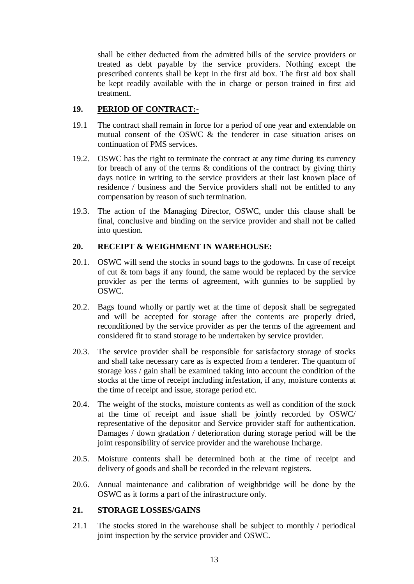shall be either deducted from the admitted bills of the service providers or treated as debt payable by the service providers. Nothing except the prescribed contents shall be kept in the first aid box. The first aid box shall be kept readily available with the in charge or person trained in first aid treatment.

## **19. PERIOD OF CONTRACT:-**

- 19.1 The contract shall remain in force for a period of one year and extendable on mutual consent of the OSWC & the tenderer in case situation arises on continuation of PMS services.
- 19.2. OSWC has the right to terminate the contract at any time during its currency for breach of any of the terms & conditions of the contract by giving thirty days notice in writing to the service providers at their last known place of residence / business and the Service providers shall not be entitled to any compensation by reason of such termination.
- 19.3. The action of the Managing Director, OSWC, under this clause shall be final, conclusive and binding on the service provider and shall not be called into question.

## **20. RECEIPT & WEIGHMENT IN WAREHOUSE:**

- 20.1. OSWC will send the stocks in sound bags to the godowns. In case of receipt of cut & tom bags if any found, the same would be replaced by the service provider as per the terms of agreement, with gunnies to be supplied by OSWC.
- 20.2. Bags found wholly or partly wet at the time of deposit shall be segregated and will be accepted for storage after the contents are properly dried, reconditioned by the service provider as per the terms of the agreement and considered fit to stand storage to be undertaken by service provider.
- 20.3. The service provider shall be responsible for satisfactory storage of stocks and shall take necessary care as is expected from a tenderer. The quantum of storage loss / gain shall be examined taking into account the condition of the stocks at the time of receipt including infestation, if any, moisture contents at the time of receipt and issue, storage period etc.
- 20.4. The weight of the stocks, moisture contents as well as condition of the stock at the time of receipt and issue shall be jointly recorded by OSWC/ representative of the depositor and Service provider staff for authentication. Damages / down gradation / deterioration during storage period will be the joint responsibility of service provider and the warehouse Incharge.
- 20.5. Moisture contents shall be determined both at the time of receipt and delivery of goods and shall be recorded in the relevant registers.
- 20.6. Annual maintenance and calibration of weighbridge will be done by the OSWC as it forms a part of the infrastructure only.

## **21. STORAGE LOSSES/GAINS**

21.1 The stocks stored in the warehouse shall be subject to monthly / periodical joint inspection by the service provider and OSWC.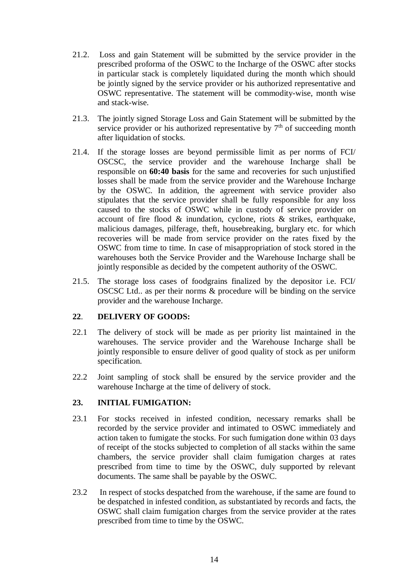- 21.2. Loss and gain Statement will be submitted by the service provider in the prescribed proforma of the OSWC to the Incharge of the OSWC after stocks in particular stack is completely liquidated during the month which should be jointly signed by the service provider or his authorized representative and OSWC representative. The statement will be commodity-wise, month wise and stack-wise.
- 21.3. The jointly signed Storage Loss and Gain Statement will be submitted by the service provider or his authorized representative by  $7<sup>th</sup>$  of succeeding month after liquidation of stocks.
- 21.4. If the storage losses are beyond permissible limit as per norms of FCI/ OSCSC, the service provider and the warehouse Incharge shall be responsible on **60:40 basis** for the same and recoveries for such unjustified losses shall be made from the service provider and the Warehouse Incharge by the OSWC. In addition, the agreement with service provider also stipulates that the service provider shall be fully responsible for any loss caused to the stocks of OSWC while in custody of service provider on account of fire flood & inundation, cyclone, riots & strikes, earthquake, malicious damages, pilferage, theft, housebreaking, burglary etc. for which recoveries will be made from service provider on the rates fixed by the OSWC from time to time. In case of misappropriation of stock stored in the warehouses both the Service Provider and the Warehouse Incharge shall be jointly responsible as decided by the competent authority of the OSWC.
- 21.5. The storage loss cases of foodgrains finalized by the depositor i.e. FCI/ OSCSC Ltd.. as per their norms & procedure will be binding on the service provider and the warehouse Incharge.

## **22**. **DELIVERY OF GOODS:**

- 22.1 The delivery of stock will be made as per priority list maintained in the warehouses. The service provider and the Warehouse Incharge shall be jointly responsible to ensure deliver of good quality of stock as per uniform specification.
- 22.2 Joint sampling of stock shall be ensured by the service provider and the warehouse Incharge at the time of delivery of stock.

## **23. INITIAL FUMIGATION:**

- 23.1 For stocks received in infested condition, necessary remarks shall be recorded by the service provider and intimated to OSWC immediately and action taken to fumigate the stocks. For such fumigation done within 03 days of receipt of the stocks subjected to completion of all stacks within the same chambers, the service provider shall claim fumigation charges at rates prescribed from time to time by the OSWC, duly supported by relevant documents. The same shall be payable by the OSWC.
- 23.2 In respect of stocks despatched from the warehouse, if the same are found to be despatched in infested condition, as substantiated by records and facts, the OSWC shall claim fumigation charges from the service provider at the rates prescribed from time to time by the OSWC.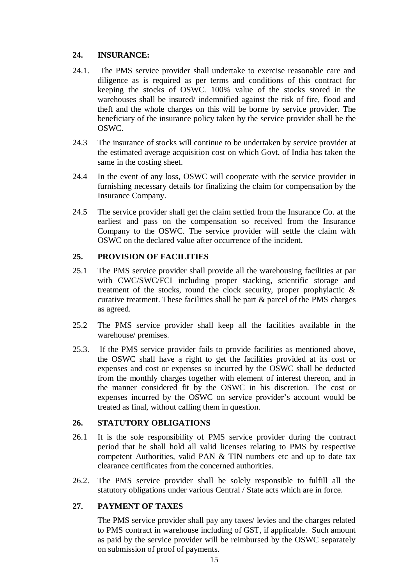## **24. INSURANCE:**

- 24.1. The PMS service provider shall undertake to exercise reasonable care and diligence as is required as per terms and conditions of this contract for keeping the stocks of OSWC. 100% value of the stocks stored in the warehouses shall be insured/ indemnified against the risk of fire, flood and theft and the whole charges on this will be borne by service provider. The beneficiary of the insurance policy taken by the service provider shall be the OSWC.
- 24.3 The insurance of stocks will continue to be undertaken by service provider at the estimated average acquisition cost on which Govt. of India has taken the same in the costing sheet.
- 24.4 In the event of any loss, OSWC will cooperate with the service provider in furnishing necessary details for finalizing the claim for compensation by the Insurance Company.
- 24.5 The service provider shall get the claim settled from the Insurance Co. at the earliest and pass on the compensation so received from the Insurance Company to the OSWC. The service provider will settle the claim with OSWC on the declared value after occurrence of the incident.

## **25. PROVISION OF FACILITIES**

- 25.1 The PMS service provider shall provide all the warehousing facilities at par with CWC/SWC/FCI including proper stacking, scientific storage and treatment of the stocks, round the clock security, proper prophylactic  $\&$ curative treatment. These facilities shall be part & parcel of the PMS charges as agreed.
- 25.2 The PMS service provider shall keep all the facilities available in the warehouse/ premises.
- 25.3. If the PMS service provider fails to provide facilities as mentioned above, the OSWC shall have a right to get the facilities provided at its cost or expenses and cost or expenses so incurred by the OSWC shall be deducted from the monthly charges together with element of interest thereon, and in the manner considered fit by the OSWC in his discretion. The cost or expenses incurred by the OSWC on service provider's account would be treated as final, without calling them in question.

## **26. STATUTORY OBLIGATIONS**

- 26.1 It is the sole responsibility of PMS service provider during the contract period that he shall hold all valid licenses relating to PMS by respective competent Authorities, valid PAN & TIN numbers etc and up to date tax clearance certificates from the concerned authorities.
- 26.2. The PMS service provider shall be solely responsible to fulfill all the statutory obligations under various Central / State acts which are in force.

## **27. PAYMENT OF TAXES**

The PMS service provider shall pay any taxes/ levies and the charges related to PMS contract in warehouse including of GST, if applicable. Such amount as paid by the service provider will be reimbursed by the OSWC separately on submission of proof of payments.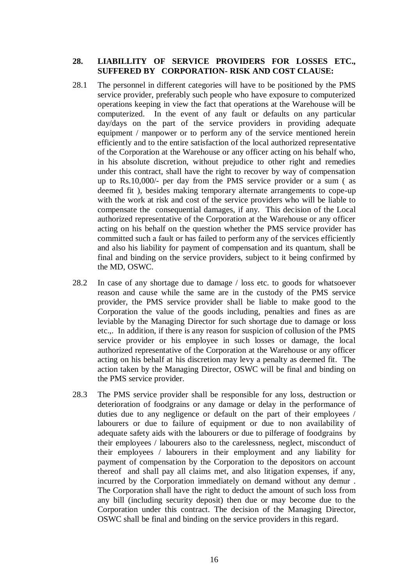#### **28. LIABILLITY OF SERVICE PROVIDERS FOR LOSSES ETC., SUFFERED BY CORPORATION- RISK AND COST CLAUSE:**

- 28.1 The personnel in different categories will have to be positioned by the PMS service provider, preferably such people who have exposure to computerized operations keeping in view the fact that operations at the Warehouse will be computerized. In the event of any fault or defaults on any particular day/days on the part of the service providers in providing adequate equipment / manpower or to perform any of the service mentioned herein efficiently and to the entire satisfaction of the local authorized representative of the Corporation at the Warehouse or any officer acting on his behalf who, in his absolute discretion, without prejudice to other right and remedies under this contract, shall have the right to recover by way of compensation up to Rs.10,000/- per day from the PMS service provider or a sum ( as deemed fit ), besides making temporary alternate arrangements to cope-up with the work at risk and cost of the service providers who will be liable to compensate the consequential damages, if any. This decision of the Local authorized representative of the Corporation at the Warehouse or any officer acting on his behalf on the question whether the PMS service provider has committed such a fault or has failed to perform any of the services efficiently and also his liability for payment of compensation and its quantum, shall be final and binding on the service providers, subject to it being confirmed by the MD, OSWC.
- 28.2 In case of any shortage due to damage / loss etc. to goods for whatsoever reason and cause while the same are in the custody of the PMS service provider, the PMS service provider shall be liable to make good to the Corporation the value of the goods including, penalties and fines as are leviable by the Managing Director for such shortage due to damage or loss etc.,. In addition, if there is any reason for suspicion of collusion of the PMS service provider or his employee in such losses or damage, the local authorized representative of the Corporation at the Warehouse or any officer acting on his behalf at his discretion may levy a penalty as deemed fit. The action taken by the Managing Director, OSWC will be final and binding on the PMS service provider.
- 28.3 The PMS service provider shall be responsible for any loss, destruction or deterioration of foodgrains or any damage or delay in the performance of duties due to any negligence or default on the part of their employees / labourers or due to failure of equipment or due to non availability of adequate safety aids with the labourers or due to pilferage of foodgrains by their employees / labourers also to the carelessness, neglect, misconduct of their employees / labourers in their employment and any liability for payment of compensation by the Corporation to the depositors on account thereof and shall pay all claims met, and also litigation expenses, if any, incurred by the Corporation immediately on demand without any demur . The Corporation shall have the right to deduct the amount of such loss from any bill (including security deposit) then due or may become due to the Corporation under this contract. The decision of the Managing Director, OSWC shall be final and binding on the service providers in this regard.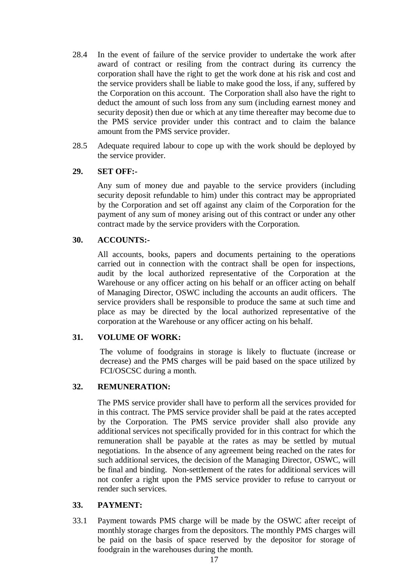- 28.4 In the event of failure of the service provider to undertake the work after award of contract or resiling from the contract during its currency the corporation shall have the right to get the work done at his risk and cost and the service providers shall be liable to make good the loss, if any, suffered by the Corporation on this account. The Corporation shall also have the right to deduct the amount of such loss from any sum (including earnest money and security deposit) then due or which at any time thereafter may become due to the PMS service provider under this contract and to claim the balance amount from the PMS service provider.
- 28.5 Adequate required labour to cope up with the work should be deployed by the service provider.

#### **29. SET OFF:-**

Any sum of money due and payable to the service providers (including security deposit refundable to him) under this contract may be appropriated by the Corporation and set off against any claim of the Corporation for the payment of any sum of money arising out of this contract or under any other contract made by the service providers with the Corporation.

#### **30. ACCOUNTS:-**

All accounts, books, papers and documents pertaining to the operations carried out in connection with the contract shall be open for inspections, audit by the local authorized representative of the Corporation at the Warehouse or any officer acting on his behalf or an officer acting on behalf of Managing Director, OSWC including the accounts an audit officers. The service providers shall be responsible to produce the same at such time and place as may be directed by the local authorized representative of the corporation at the Warehouse or any officer acting on his behalf.

#### **31. VOLUME OF WORK:**

The volume of foodgrains in storage is likely to fluctuate (increase or decrease) and the PMS charges will be paid based on the space utilized by FCI/OSCSC during a month.

#### **32. REMUNERATION:**

The PMS service provider shall have to perform all the services provided for in this contract. The PMS service provider shall be paid at the rates accepted by the Corporation. The PMS service provider shall also provide any additional services not specifically provided for in this contract for which the remuneration shall be payable at the rates as may be settled by mutual negotiations. In the absence of any agreement being reached on the rates for such additional services, the decision of the Managing Director, OSWC, will be final and binding. Non-settlement of the rates for additional services will not confer a right upon the PMS service provider to refuse to carryout or render such services.

## **33. PAYMENT:**

33.1 Payment towards PMS charge will be made by the OSWC after receipt of monthly storage charges from the depositors. The monthly PMS charges will be paid on the basis of space reserved by the depositor for storage of foodgrain in the warehouses during the month.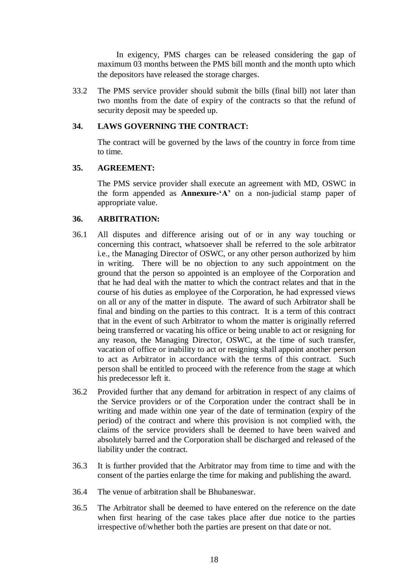In exigency, PMS charges can be released considering the gap of maximum 03 months between the PMS bill month and the month upto which the depositors have released the storage charges.

33.2 The PMS service provider should submit the bills (final bill) not later than two months from the date of expiry of the contracts so that the refund of security deposit may be speeded up.

## **34. LAWS GOVERNING THE CONTRACT:**

The contract will be governed by the laws of the country in force from time to time.

#### **35. AGREEMENT:**

The PMS service provider shall execute an agreement with MD, OSWC in the form appended as **Annexure-'A'** on a non-judicial stamp paper of appropriate value.

#### **36. ARBITRATION:**

- 36.1 All disputes and difference arising out of or in any way touching or concerning this contract, whatsoever shall be referred to the sole arbitrator i.e., the Managing Director of OSWC, or any other person authorized by him in writing. There will be no objection to any such appointment on the ground that the person so appointed is an employee of the Corporation and that he had deal with the matter to which the contract relates and that in the course of his duties as employee of the Corporation, he had expressed views on all or any of the matter in dispute. The award of such Arbitrator shall be final and binding on the parties to this contract. It is a term of this contract that in the event of such Arbitrator to whom the matter is originally referred being transferred or vacating his office or being unable to act or resigning for any reason, the Managing Director, OSWC, at the time of such transfer, vacation of office or inability to act or resigning shall appoint another person to act as Arbitrator in accordance with the terms of this contract. Such person shall be entitled to proceed with the reference from the stage at which his predecessor left it.
- 36.2 Provided further that any demand for arbitration in respect of any claims of the Service providers or of the Corporation under the contract shall be in writing and made within one year of the date of termination (expiry of the period) of the contract and where this provision is not complied with, the claims of the service providers shall be deemed to have been waived and absolutely barred and the Corporation shall be discharged and released of the liability under the contract.
- 36.3 It is further provided that the Arbitrator may from time to time and with the consent of the parties enlarge the time for making and publishing the award.
- 36.4 The venue of arbitration shall be Bhubaneswar.
- 36.5 The Arbitrator shall be deemed to have entered on the reference on the date when first hearing of the case takes place after due notice to the parties irrespective of/whether both the parties are present on that date or not.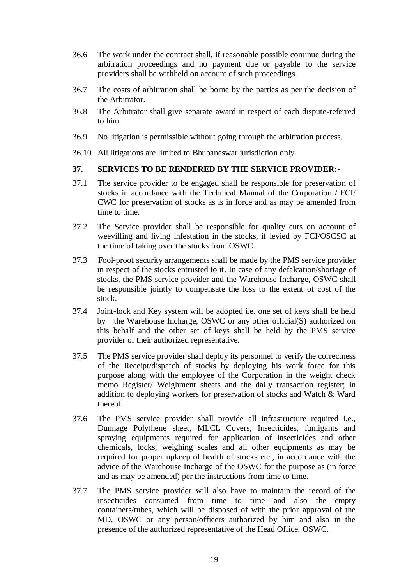- 36.6 The work under the contract shall, if reasonable possible continue during the arbitration proceedings and no payment due or payable to the service providers shall be withheld on account of such proceedings.
- 36.7 The costs of arbitration shall be borne by the parties as per the decision of the Arbitrator.
- 36.8 The Arbitrator shall give separate award in respect of each dispute-referred to him.
- 36.9 No litigation is permissible without going through the arbitration process.
- 36.10 All litigations are limited to Bhubaneswar jurisdiction only.

## **37. SERVICES TO BE RENDERED BY THE SERVICE PROVIDER:-**

- 37.1 The service provider to be engaged shall be responsible for preservation of stocks in accordance with the Technical Manual of the Corporation / FCI/ CWC for preservation of stocks as is in force and as may be amended from time to time.
- 37.2 The Service provider shall be responsible for quality cuts on account of weevilling and living infestation in the stocks, if levied by FCI/OSCSC at the time of taking over the stocks from OSWC.
- 37.3 Fool-proof security arrangements shall be made by the PMS service provider in respect of the stocks entrusted to it. In case of any defalcation/shortage of stocks, the PMS service provider and the Warehouse Incharge, OSWC shall be responsible jointly to compensate the loss to the extent of cost of the stock.
- 37.4 Joint-lock and Key system will be adopted i.e. one set of keys shall be held by the Warehouse Incharge, OSWC or any other official(S) authorized on this behalf and the other set of keys shall be held by the PMS service provider or their authorized representative.
- 37.5 The PMS service provider shall deploy its personnel to verify the correctness of the Receipt/dispatch of stocks by deploying his work force for this purpose along with the employee of the Corporation in the weight check memo Register/ Weighment sheets and the daily transaction register; in addition to deploying workers for preservation of stocks and Watch & Ward thereof.
- 37.6 The PMS service provider shall provide all infrastructure required i.e., Dunnage Polythene sheet, MLCL Covers, Insecticides, fumigants and spraying equipments required for application of insecticides and other chemicals, locks, weighing scales and all other equipments as may be required for proper upkeep of health of stocks etc., in accordance with the advice of the Warehouse Incharge of the OSWC for the purpose as (in force and as may be amended) per the instructions from time to time.
- 37.7 The PMS service provider will also have to maintain the record of the insecticides consumed from time to time and also the empty containers/tubes, which will be disposed of with the prior approval of the MD, OSWC or any person/officers authorized by him and also in the presence of the authorized representative of the Head Office, OSWC.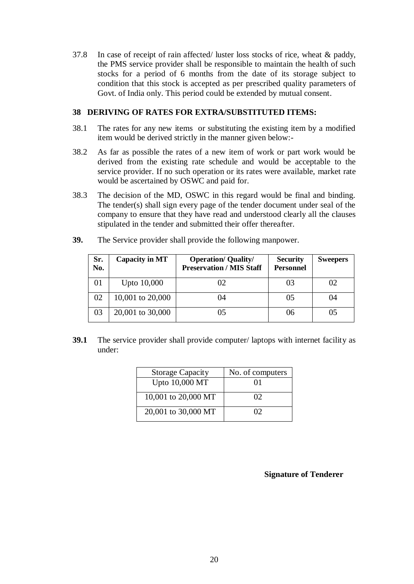37.8 In case of receipt of rain affected/ luster loss stocks of rice, wheat & paddy, the PMS service provider shall be responsible to maintain the health of such stocks for a period of 6 months from the date of its storage subject to condition that this stock is accepted as per prescribed quality parameters of Govt. of India only. This period could be extended by mutual consent.

#### **38 DERIVING OF RATES FOR EXTRA/SUBSTITUTED ITEMS:**

- 38.1 The rates for any new items or substituting the existing item by a modified item would be derived strictly in the manner given below:-
- 38.2 As far as possible the rates of a new item of work or part work would be derived from the existing rate schedule and would be acceptable to the service provider. If no such operation or its rates were available, market rate would be ascertained by OSWC and paid for.
- 38.3 The decision of the MD, OSWC in this regard would be final and binding. The tender(s) shall sign every page of the tender document under seal of the company to ensure that they have read and understood clearly all the clauses stipulated in the tender and submitted their offer thereafter.

| Sr.<br>No. | Capacity in MT | <b>Operation/ Quality/</b><br><b>Preservation / MIS Staff</b> | <b>Security</b><br><b>Personnel</b> | <b>Sweepers</b> |
|------------|----------------|---------------------------------------------------------------|-------------------------------------|-----------------|
|            | Upto 10,000    |                                                               | 03                                  |                 |

**39.** The Service provider shall provide the following manpower.

**39.1** The service provider shall provide computer/ laptops with internet facility as under:

 $02 \mid 10,001$  to  $20,000 \mid$  04 05 05 04

03 | 20,001 to 30,000 | 05 | 06 | 05

| <b>Storage Capacity</b> | No. of computers |
|-------------------------|------------------|
| Upto 10,000 MT          | 01               |
| 10,001 to 20,000 MT     | 02               |
| 20,001 to 30,000 MT     | O2               |

**Signature of Tenderer**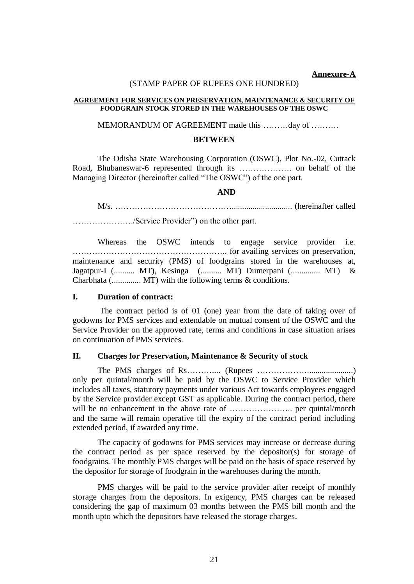#### **Annexure-A**

#### (STAMP PAPER OF RUPEES ONE HUNDRED)

#### **AGREEMENT FOR SERVICES ON PRESERVATION, MAINTENANCE & SECURITY OF FOODGRAIN STOCK STORED IN THE WAREHOUSES OF THE OSWC**

#### MEMORANDUM OF AGREEMENT made this ………day of ……….

#### **BETWEEN**

The Odisha State Warehousing Corporation (OSWC), Plot No.-02, Cuttack Road, Bhubaneswar-6 represented through its ………………. on behalf of the Managing Director (hereinafter called "The OSWC") of the one part.

#### **AND**

M/s. ……………………………………............................. (hereinafter called

…………………./Service Provider") on the other part.

Whereas the OSWC intends to engage service provider i.e. ……………………………………………….. for availing services on preservation, maintenance and security (PMS) of foodgrains stored in the warehouses at, Jagatpur-I (.......... MT), Kesinga (.......... MT) Dumerpani (.............. MT) & Charbhata (.............. MT) with the following terms & conditions.

#### **I. Duration of contract:**

The contract period is of 01 (one) year from the date of taking over of godowns for PMS services and extendable on mutual consent of the OSWC and the Service Provider on the approved rate, terms and conditions in case situation arises on continuation of PMS services.

#### **II. Charges for Preservation, Maintenance & Security of stock**

The PMS charges of Rs……….... (Rupees ………………......................) only per quintal/month will be paid by the OSWC to Service Provider which includes all taxes, statutory payments under various Act towards employees engaged by the Service provider except GST as applicable. During the contract period, there will be no enhancement in the above rate of ………………….. per quintal/month and the same will remain operative till the expiry of the contract period including extended period, if awarded any time.

The capacity of godowns for PMS services may increase or decrease during the contract period as per space reserved by the depositor(s) for storage of foodgrains. The monthly PMS charges will be paid on the basis of space reserved by the depositor for storage of foodgrain in the warehouses during the month.

PMS charges will be paid to the service provider after receipt of monthly storage charges from the depositors. In exigency, PMS charges can be released considering the gap of maximum 03 months between the PMS bill month and the month upto which the depositors have released the storage charges.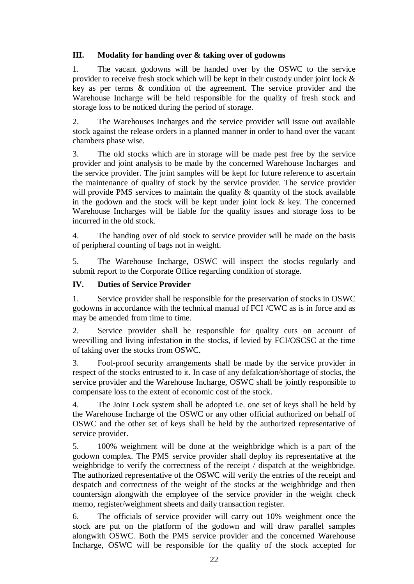## **III. Modality for handing over & taking over of godowns**

1. The vacant godowns will be handed over by the OSWC to the service provider to receive fresh stock which will be kept in their custody under joint lock & key as per terms & condition of the agreement. The service provider and the Warehouse Incharge will be held responsible for the quality of fresh stock and storage loss to be noticed during the period of storage.

2. The Warehouses Incharges and the service provider will issue out available stock against the release orders in a planned manner in order to hand over the vacant chambers phase wise.

3. The old stocks which are in storage will be made pest free by the service provider and joint analysis to be made by the concerned Warehouse Incharges and the service provider. The joint samples will be kept for future reference to ascertain the maintenance of quality of stock by the service provider. The service provider will provide PMS services to maintain the quality  $\&$  quantity of the stock available in the godown and the stock will be kept under joint lock & key. The concerned Warehouse Incharges will be liable for the quality issues and storage loss to be incurred in the old stock.

4. The handing over of old stock to service provider will be made on the basis of peripheral counting of bags not in weight.

5. The Warehouse Incharge, OSWC will inspect the stocks regularly and submit report to the Corporate Office regarding condition of storage.

## **IV. Duties of Service Provider**

1. Service provider shall be responsible for the preservation of stocks in OSWC godowns in accordance with the technical manual of FCI /CWC as is in force and as may be amended from time to time.

2. Service provider shall be responsible for quality cuts on account of weevilling and living infestation in the stocks, if levied by FCI/OSCSC at the time of taking over the stocks from OSWC.

3. Fool-proof security arrangements shall be made by the service provider in respect of the stocks entrusted to it. In case of any defalcation/shortage of stocks, the service provider and the Warehouse Incharge, OSWC shall be jointly responsible to compensate loss to the extent of economic cost of the stock.

4. The Joint Lock system shall be adopted i.e. one set of keys shall be held by the Warehouse Incharge of the OSWC or any other official authorized on behalf of OSWC and the other set of keys shall be held by the authorized representative of service provider.

5. 100% weighment will be done at the weighbridge which is a part of the godown complex. The PMS service provider shall deploy its representative at the weighbridge to verify the correctness of the receipt / dispatch at the weighbridge. The authorized representative of the OSWC will verify the entries of the receipt and despatch and correctness of the weight of the stocks at the weighbridge and then countersign alongwith the employee of the service provider in the weight check memo, register/weighment sheets and daily transaction register.

6. The officials of service provider will carry out 10% weighment once the stock are put on the platform of the godown and will draw parallel samples alongwith OSWC. Both the PMS service provider and the concerned Warehouse Incharge, OSWC will be responsible for the quality of the stock accepted for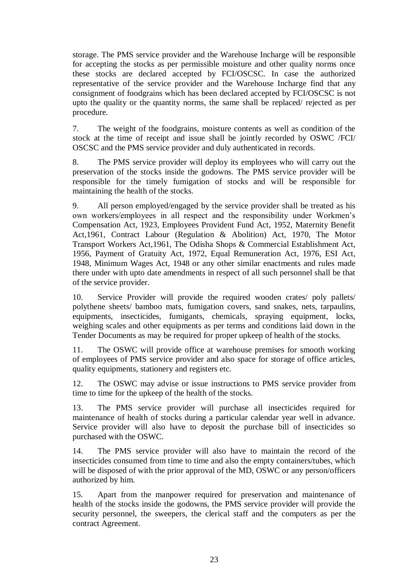storage. The PMS service provider and the Warehouse Incharge will be responsible for accepting the stocks as per permissible moisture and other quality norms once these stocks are declared accepted by FCI/OSCSC. In case the authorized representative of the service provider and the Warehouse Incharge find that any consignment of foodgrains which has been declared accepted by FCI/OSCSC is not upto the quality or the quantity norms, the same shall be replaced/ rejected as per procedure.

7. The weight of the foodgrains, moisture contents as well as condition of the stock at the time of receipt and issue shall be jointly recorded by OSWC /FCI/ OSCSC and the PMS service provider and duly authenticated in records.

8. The PMS service provider will deploy its employees who will carry out the preservation of the stocks inside the godowns. The PMS service provider will be responsible for the timely fumigation of stocks and will be responsible for maintaining the health of the stocks.

9. All person employed/engaged by the service provider shall be treated as his own workers/employees in all respect and the responsibility under Workmen's Compensation Act, 1923, Employees Provident Fund Act, 1952, Maternity Benefit Act,1961, Contract Labour (Regulation & Abolition) Act, 1970, The Motor Transport Workers Act,1961, The Odisha Shops & Commercial Establishment Act, 1956, Payment of Gratuity Act, 1972, Equal Remuneration Act, 1976, ESI Act, 1948, Minimum Wages Act, 1948 or any other similar enactments and rules made there under with upto date amendments in respect of all such personnel shall be that of the service provider.

10. Service Provider will provide the required wooden crates/ poly pallets/ polythene sheets/ bamboo mats, fumigation covers, sand snakes, nets, tarpaulins, equipments, insecticides, fumigants, chemicals, spraying equipment, locks, weighing scales and other equipments as per terms and conditions laid down in the Tender Documents as may be required for proper upkeep of health of the stocks.

11. The OSWC will provide office at warehouse premises for smooth working of employees of PMS service provider and also space for storage of office articles, quality equipments, stationery and registers etc.

12. The OSWC may advise or issue instructions to PMS service provider from time to time for the upkeep of the health of the stocks.

13. The PMS service provider will purchase all insecticides required for maintenance of health of stocks during a particular calendar year well in advance. Service provider will also have to deposit the purchase bill of insecticides so purchased with the OSWC.

14. The PMS service provider will also have to maintain the record of the insecticides consumed from time to time and also the empty containers/tubes, which will be disposed of with the prior approval of the MD, OSWC or any person/officers authorized by him.

15. Apart from the manpower required for preservation and maintenance of health of the stocks inside the godowns, the PMS service provider will provide the security personnel, the sweepers, the clerical staff and the computers as per the contract Agreement.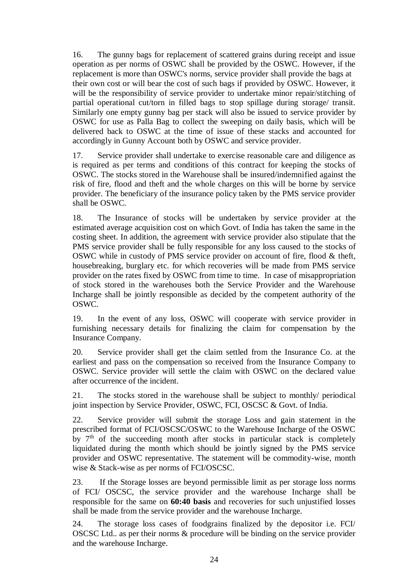16. The gunny bags for replacement of scattered grains during receipt and issue operation as per norms of OSWC shall be provided by the OSWC. However, if the replacement is more than OSWC's norms, service provider shall provide the bags at their own cost or will bear the cost of such bags if provided by OSWC. However, it will be the responsibility of service provider to undertake minor repair/stitching of partial operational cut/torn in filled bags to stop spillage during storage/ transit. Similarly one empty gunny bag per stack will also be issued to service provider by OSWC for use as Palla Bag to collect the sweeping on daily basis, which will be delivered back to OSWC at the time of issue of these stacks and accounted for accordingly in Gunny Account both by OSWC and service provider.

17. Service provider shall undertake to exercise reasonable care and diligence as is required as per terms and conditions of this contract for keeping the stocks of OSWC. The stocks stored in the Warehouse shall be insured/indemnified against the risk of fire, flood and theft and the whole charges on this will be borne by service provider. The beneficiary of the insurance policy taken by the PMS service provider shall be OSWC.

18. The Insurance of stocks will be undertaken by service provider at the estimated average acquisition cost on which Govt. of India has taken the same in the costing sheet. In addition, the agreement with service provider also stipulate that the PMS service provider shall be fully responsible for any loss caused to the stocks of OSWC while in custody of PMS service provider on account of fire, flood & theft, housebreaking, burglary etc. for which recoveries will be made from PMS service provider on the rates fixed by OSWC from time to time. In case of misappropriation of stock stored in the warehouses both the Service Provider and the Warehouse Incharge shall be jointly responsible as decided by the competent authority of the OSWC.

19. In the event of any loss, OSWC will cooperate with service provider in furnishing necessary details for finalizing the claim for compensation by the Insurance Company.

20. Service provider shall get the claim settled from the Insurance Co. at the earliest and pass on the compensation so received from the Insurance Company to OSWC. Service provider will settle the claim with OSWC on the declared value after occurrence of the incident.

21. The stocks stored in the warehouse shall be subject to monthly/ periodical joint inspection by Service Provider, OSWC, FCI, OSCSC & Govt. of India.

22. Service provider will submit the storage Loss and gain statement in the prescribed format of FCI/OSCSC/OSWC to the Warehouse Incharge of the OSWC by  $7<sup>th</sup>$  of the succeeding month after stocks in particular stack is completely liquidated during the month which should be jointly signed by the PMS service provider and OSWC representative. The statement will be commodity-wise, month wise & Stack-wise as per norms of FCI/OSCSC.

23. If the Storage losses are beyond permissible limit as per storage loss norms of FCI/ OSCSC, the service provider and the warehouse Incharge shall be responsible for the same on **60:40 basis** and recoveries for such unjustified losses shall be made from the service provider and the warehouse Incharge.

24. The storage loss cases of foodgrains finalized by the depositor i.e. FCI/ OSCSC Ltd.. as per their norms & procedure will be binding on the service provider and the warehouse Incharge.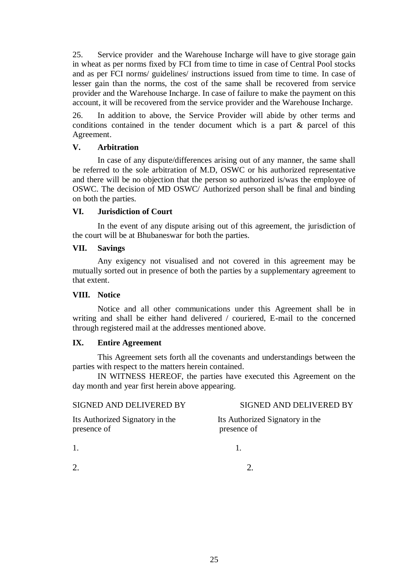25. Service provider and the Warehouse Incharge will have to give storage gain in wheat as per norms fixed by FCI from time to time in case of Central Pool stocks and as per FCI norms/ guidelines/ instructions issued from time to time. In case of lesser gain than the norms, the cost of the same shall be recovered from service provider and the Warehouse Incharge. In case of failure to make the payment on this account, it will be recovered from the service provider and the Warehouse Incharge.

26. In addition to above, the Service Provider will abide by other terms and conditions contained in the tender document which is a part & parcel of this Agreement.

## **V. Arbitration**

In case of any dispute/differences arising out of any manner, the same shall be referred to the sole arbitration of M.D, OSWC or his authorized representative and there will be no objection that the person so authorized is/was the employee of OSWC. The decision of MD OSWC/ Authorized person shall be final and binding on both the parties.

## **VI. Jurisdiction of Court**

In the event of any dispute arising out of this agreement, the jurisdiction of the court will be at Bhubaneswar for both the parties.

#### **VII. Savings**

Any exigency not visualised and not covered in this agreement may be mutually sorted out in presence of both the parties by a supplementary agreement to that extent.

#### **VIII. Notice**

Notice and all other communications under this Agreement shall be in writing and shall be either hand delivered / couriered, E-mail to the concerned through registered mail at the addresses mentioned above.

## **IX. Entire Agreement**

This Agreement sets forth all the covenants and understandings between the parties with respect to the matters herein contained.

IN WITNESS HEREOF, the parties have executed this Agreement on the day month and year first herein above appearing.

#### SIGNED AND DELIVERED BYSIGNED AND DELIVERED BY

Its Authorized Signatory in the Its Authorized Signatory in the

presence of presence of

1. 1.

 $2.$  2.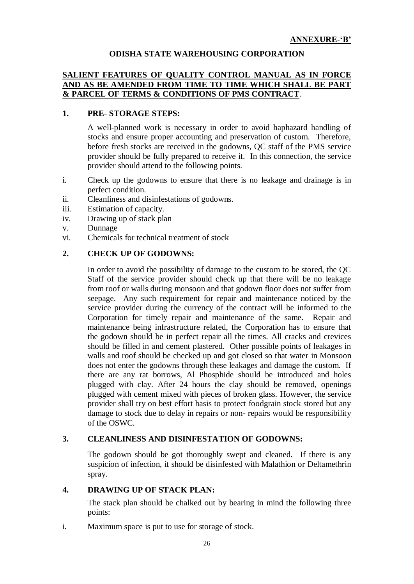## **ODISHA STATE WAREHOUSING CORPORATION**

## **SALIENT FEATURES OF QUALITY CONTROL MANUAL AS IN FORCE AND AS BE AMENDED FROM TIME TO TIME WHICH SHALL BE PART & PARCEL OF TERMS & CONDITIONS OF PMS CONTRACT**.

#### **1. PRE- STORAGE STEPS:**

A well-planned work is necessary in order to avoid haphazard handling of stocks and ensure proper accounting and preservation of custom. Therefore, before fresh stocks are received in the godowns, QC staff of the PMS service provider should be fully prepared to receive it. In this connection, the service provider should attend to the following points.

- i. Check up the godowns to ensure that there is no leakage and drainage is in perfect condition.
- ii. Cleanliness and disinfestations of godowns.
- iii. Estimation of capacity.
- iv. Drawing up of stack plan
- v. Dunnage
- vi. Chemicals for technical treatment of stock

#### **2. CHECK UP OF GODOWNS:**

In order to avoid the possibility of damage to the custom to be stored, the QC Staff of the service provider should check up that there will be no leakage from roof or walls during monsoon and that godown floor does not suffer from seepage. Any such requirement for repair and maintenance noticed by the service provider during the currency of the contract will be informed to the Corporation for timely repair and maintenance of the same. Repair and maintenance being infrastructure related, the Corporation has to ensure that the godown should be in perfect repair all the times. All cracks and crevices should be filled in and cement plastered. Other possible points of leakages in walls and roof should be checked up and got closed so that water in Monsoon does not enter the godowns through these leakages and damage the custom. If there are any rat borrows, Al Phosphide should be introduced and holes plugged with clay. After 24 hours the clay should be removed, openings plugged with cement mixed with pieces of broken glass. However, the service provider shall try on best effort basis to protect foodgrain stock stored but any damage to stock due to delay in repairs or non- repairs would be responsibility of the OSWC.

#### **3. CLEANLINESS AND DISINFESTATION OF GODOWNS:**

The godown should be got thoroughly swept and cleaned. If there is any suspicion of infection, it should be disinfested with Malathion or Deltamethrin spray.

#### **4. DRAWING UP OF STACK PLAN:**

The stack plan should be chalked out by bearing in mind the following three points:

i. Maximum space is put to use for storage of stock.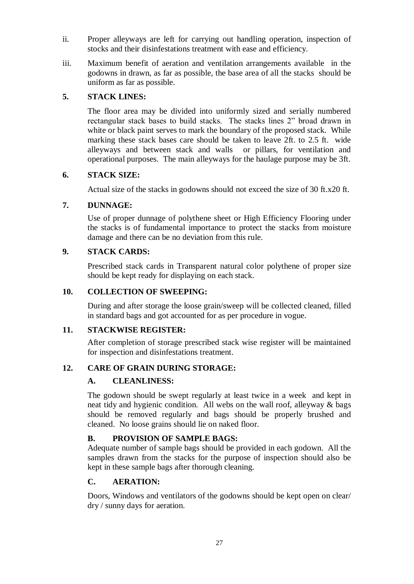- ii. Proper alleyways are left for carrying out handling operation, inspection of stocks and their disinfestations treatment with ease and efficiency.
- iii. Maximum benefit of aeration and ventilation arrangements available in the godowns in drawn, as far as possible, the base area of all the stacks should be uniform as far as possible.

## **5. STACK LINES:**

The floor area may be divided into uniformly sized and serially numbered rectangular stack bases to build stacks. The stacks lines 2" broad drawn in white or black paint serves to mark the boundary of the proposed stack. While marking these stack bases care should be taken to leave 2ft. to 2.5 ft. wide alleyways and between stack and walls or pillars, for ventilation and operational purposes. The main alleyways for the haulage purpose may be 3ft.

## **6. STACK SIZE:**

Actual size of the stacks in godowns should not exceed the size of 30 ft.x20 ft.

## **7. DUNNAGE:**

Use of proper dunnage of polythene sheet or High Efficiency Flooring under the stacks is of fundamental importance to protect the stacks from moisture damage and there can be no deviation from this rule.

## **9. STACK CARDS:**

Prescribed stack cards in Transparent natural color polythene of proper size should be kept ready for displaying on each stack.

## **10. COLLECTION OF SWEEPING:**

During and after storage the loose grain/sweep will be collected cleaned, filled in standard bags and got accounted for as per procedure in vogue.

#### **11. STACKWISE REGISTER:**

After completion of storage prescribed stack wise register will be maintained for inspection and disinfestations treatment.

## **12. CARE OF GRAIN DURING STORAGE:**

## **A. CLEANLINESS:**

The godown should be swept regularly at least twice in a week and kept in neat tidy and hygienic condition. All webs on the wall roof, alleyway & bags should be removed regularly and bags should be properly brushed and cleaned. No loose grains should lie on naked floor.

## **B. PROVISION OF SAMPLE BAGS:**

Adequate number of sample bags should be provided in each godown. All the samples drawn from the stacks for the purpose of inspection should also be kept in these sample bags after thorough cleaning.

## **C. AERATION:**

Doors, Windows and ventilators of the godowns should be kept open on clear/ dry / sunny days for aeration.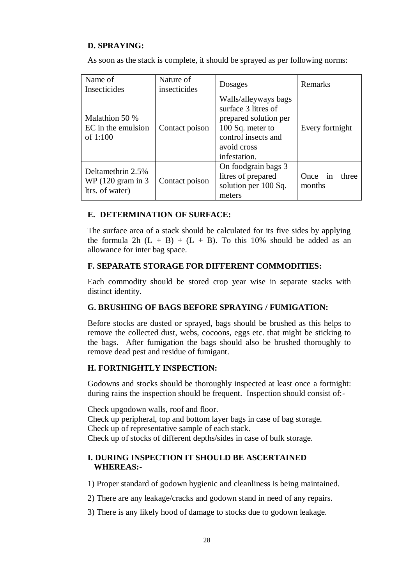## **D. SPRAYING:**

As soon as the stack is complete, it should be sprayed as per following norms:

| Name of<br>Insecticides                                                                 | Nature of<br>insecticides | Dosages                                                                                                                                        | Remarks                       |  |
|-----------------------------------------------------------------------------------------|---------------------------|------------------------------------------------------------------------------------------------------------------------------------------------|-------------------------------|--|
| Malathion 50 %<br>EC in the emulsion<br>of $1:100$                                      | Contact poison            | Walls/alleyways bags<br>surface 3 litres of<br>prepared solution per<br>100 Sq. meter to<br>control insects and<br>avoid cross<br>infestation. | Every fortnight               |  |
| Deltamethrin 2.5%<br>WP $(120 \text{ gram in } 3)$<br>Contact poison<br>ltrs. of water) |                           | On foodgrain bags 3<br>litres of prepared<br>solution per 100 Sq.<br>meters                                                                    | Once<br>in<br>three<br>months |  |

#### **E. DETERMINATION OF SURFACE:**

The surface area of a stack should be calculated for its five sides by applying the formula 2h  $(L + B) + (L + B)$ . To this 10% should be added as an allowance for inter bag space.

#### **F. SEPARATE STORAGE FOR DIFFERENT COMMODITIES:**

Each commodity should be stored crop year wise in separate stacks with distinct identity.

#### **G. BRUSHING OF BAGS BEFORE SPRAYING / FUMIGATION:**

Before stocks are dusted or sprayed, bags should be brushed as this helps to remove the collected dust, webs, cocoons, eggs etc. that might be sticking to the bags. After fumigation the bags should also be brushed thoroughly to remove dead pest and residue of fumigant.

#### **H. FORTNIGHTLY INSPECTION:**

Godowns and stocks should be thoroughly inspected at least once a fortnight: during rains the inspection should be frequent. Inspection should consist of:-

Check upgodown walls, roof and floor. Check up peripheral, top and bottom layer bags in case of bag storage. Check up of representative sample of each stack. Check up of stocks of different depths/sides in case of bulk storage.

#### **I. DURING INSPECTION IT SHOULD BE ASCERTAINED WHEREAS:-**

1) Proper standard of godown hygienic and cleanliness is being maintained.

2) There are any leakage/cracks and godown stand in need of any repairs.

3) There is any likely hood of damage to stocks due to godown leakage.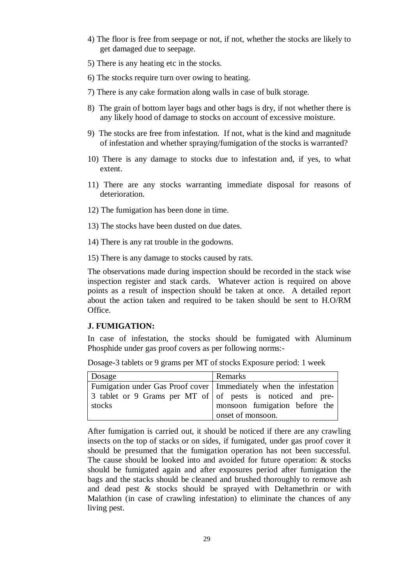- 4) The floor is free from seepage or not, if not, whether the stocks are likely to get damaged due to seepage.
- 5) There is any heating etc in the stocks.
- 6) The stocks require turn over owing to heating.
- 7) There is any cake formation along walls in case of bulk storage.
- 8) The grain of bottom layer bags and other bags is dry, if not whether there is any likely hood of damage to stocks on account of excessive moisture.
- 9) The stocks are free from infestation. If not, what is the kind and magnitude of infestation and whether spraying/fumigation of the stocks is warranted?
- 10) There is any damage to stocks due to infestation and, if yes, to what extent.
- 11) There are any stocks warranting immediate disposal for reasons of deterioration.
- 12) The fumigation has been done in time.
- 13) The stocks have been dusted on due dates.
- 14) There is any rat trouble in the godowns.
- 15) There is any damage to stocks caused by rats.

The observations made during inspection should be recorded in the stack wise inspection register and stack cards. Whatever action is required on above points as a result of inspection should be taken at once. A detailed report about the action taken and required to be taken should be sent to H.O/RM Office.

#### **J. FUMIGATION:**

In case of infestation, the stocks should be fumigated with Aluminum Phosphide under gas proof covers as per following norms:-

Dosage-3 tablets or 9 grams per MT of stocks Exposure period: 1 week

| Dosage                                                              | Remarks                       |
|---------------------------------------------------------------------|-------------------------------|
| Fumigation under Gas Proof cover   Immediately when the infestation |                               |
| 3 tablet or 9 Grams per MT of of pests is noticed and pre-          |                               |
| stocks                                                              | monsoon fumigation before the |
|                                                                     | onset of monsoon.             |

After fumigation is carried out, it should be noticed if there are any crawling insects on the top of stacks or on sides, if fumigated, under gas proof cover it should be presumed that the fumigation operation has not been successful. The cause should be looked into and avoided for future operation: & stocks should be fumigated again and after exposures period after fumigation the bags and the stacks should be cleaned and brushed thoroughly to remove ash and dead pest & stocks should be sprayed with Deltamethrin or with Malathion (in case of crawling infestation) to eliminate the chances of any living pest.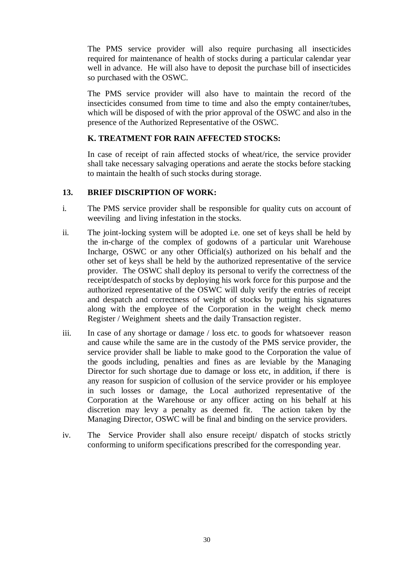The PMS service provider will also require purchasing all insecticides required for maintenance of health of stocks during a particular calendar year well in advance. He will also have to deposit the purchase bill of insecticides so purchased with the OSWC.

The PMS service provider will also have to maintain the record of the insecticides consumed from time to time and also the empty container/tubes, which will be disposed of with the prior approval of the OSWC and also in the presence of the Authorized Representative of the OSWC.

## **K. TREATMENT FOR RAIN AFFECTED STOCKS:**

In case of receipt of rain affected stocks of wheat/rice, the service provider shall take necessary salvaging operations and aerate the stocks before stacking to maintain the health of such stocks during storage.

#### **13. BRIEF DISCRIPTION OF WORK:**

- i. The PMS service provider shall be responsible for quality cuts on account of weeviling and living infestation in the stocks.
- ii. The joint-locking system will be adopted i.e. one set of keys shall be held by the in-charge of the complex of godowns of a particular unit Warehouse Incharge, OSWC or any other Official(s) authorized on his behalf and the other set of keys shall be held by the authorized representative of the service provider. The OSWC shall deploy its personal to verify the correctness of the receipt/despatch of stocks by deploying his work force for this purpose and the authorized representative of the OSWC will duly verify the entries of receipt and despatch and correctness of weight of stocks by putting his signatures along with the employee of the Corporation in the weight check memo Register / Weighment sheets and the daily Transaction register.
- iii. In case of any shortage or damage / loss etc. to goods for whatsoever reason and cause while the same are in the custody of the PMS service provider, the service provider shall be liable to make good to the Corporation the value of the goods including, penalties and fines as are leviable by the Managing Director for such shortage due to damage or loss etc, in addition, if there is any reason for suspicion of collusion of the service provider or his employee in such losses or damage, the Local authorized representative of the Corporation at the Warehouse or any officer acting on his behalf at his discretion may levy a penalty as deemed fit. The action taken by the Managing Director, OSWC will be final and binding on the service providers.
- iv. The Service Provider shall also ensure receipt/ dispatch of stocks strictly conforming to uniform specifications prescribed for the corresponding year.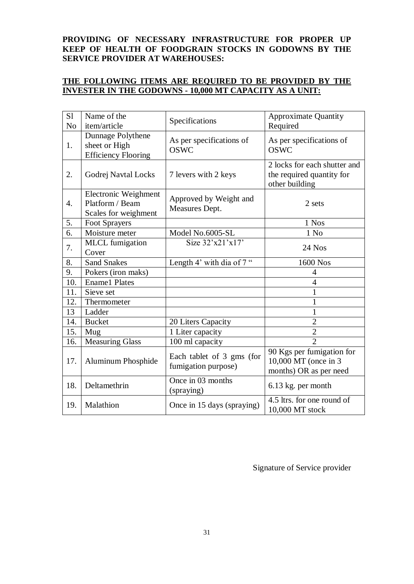## **PROVIDING OF NECESSARY INFRASTRUCTURE FOR PROPER UP KEEP OF HEALTH OF FOODGRAIN STOCKS IN GODOWNS BY THE SERVICE PROVIDER AT WAREHOUSES:**

## **THE FOLLOWING ITEMS ARE REQUIRED TO BE PROVIDED BY THE INVESTER IN THE GODOWNS - 10,000 MT CAPACITY AS A UNIT:**

| S <sub>1</sub><br>N <sub>o</sub> | Name of the<br>item/article                                      | Specifications                                   | <b>Approximate Quantity</b><br>Required                                     |
|----------------------------------|------------------------------------------------------------------|--------------------------------------------------|-----------------------------------------------------------------------------|
| 1.                               | Dunnage Polythene<br>sheet or High<br><b>Efficiency Flooring</b> | As per specifications of<br><b>OSWC</b>          | As per specifications of<br><b>OSWC</b>                                     |
| 2.                               | Godrej Navtal Locks                                              | 7 levers with 2 keys                             | 2 locks for each shutter and<br>the required quantity for<br>other building |
| 4.                               | Electronic Weighment<br>Platform / Beam<br>Scales for weighment  | Approved by Weight and<br>Measures Dept.         | 2 sets                                                                      |
| 5.                               | Foot Sprayers                                                    |                                                  | 1 Nos                                                                       |
| 6.                               | Moisture meter                                                   | Model No.6005-SL                                 | $1$ No                                                                      |
| 7.                               | <b>MLCL</b> fumigation<br>Cover                                  | Size 32'x21'x17'                                 | 24 Nos                                                                      |
| 8.                               | <b>Sand Snakes</b>                                               | Length 4' with dia of 7"                         | 1600 Nos                                                                    |
| 9.                               | Pokers (iron maks)                                               |                                                  | 4                                                                           |
| 10.                              | <b>Ename1</b> Plates                                             |                                                  | 4                                                                           |
| 11.                              | Sieve set                                                        |                                                  | $\mathbf{1}$                                                                |
| 12.                              | Thermometer                                                      |                                                  | $\mathbf{1}$                                                                |
| 13                               | Ladder                                                           |                                                  | 1                                                                           |
| 14.                              | <b>Bucket</b>                                                    | 20 Liters Capacity                               | $\overline{2}$                                                              |
| 15.                              | Mug                                                              | 1 Liter capacity                                 | $\overline{2}$                                                              |
| 16.                              | Measuring Glass                                                  | 100 ml capacity                                  | $\mathcal{D}_{\mathcal{L}}$                                                 |
| 17.                              | Aluminum Phosphide                                               | Each tablet of 3 gms (for<br>fumigation purpose) | 90 Kgs per fumigation for<br>10,000 MT (once in 3<br>months) OR as per need |
| 18.                              | Deltamethrin                                                     | Once in 03 months<br>(spraying)                  | 6.13 kg. per month                                                          |
| 19.                              | Malathion                                                        | Once in 15 days (spraying)                       | 4.5 ltrs. for one round of<br>10,000 MT stock                               |

Signature of Service provider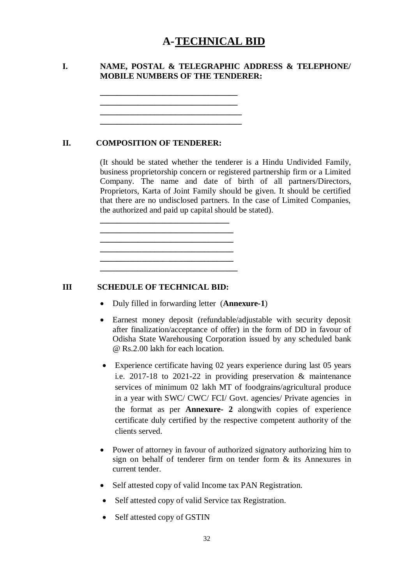# **A-TECHNICAL BID**

## **I. NAME, POSTAL & TELEGRAPHIC ADDRESS & TELEPHONE/ MOBILE NUMBERS OF THE TENDERER:**

**\_\_\_\_\_\_\_\_\_\_\_\_\_\_\_\_\_\_\_\_\_\_\_\_\_\_\_\_\_\_\_\_\_ \_\_\_\_\_\_\_\_\_\_\_\_\_\_\_\_\_\_\_\_\_\_\_\_\_\_\_\_\_\_\_\_\_\_ \_\_\_\_\_\_\_\_\_\_\_\_\_\_\_\_\_\_\_\_\_\_\_\_\_\_\_\_\_\_\_\_\_\_**

**\_\_\_\_\_\_\_\_\_\_\_\_\_\_\_\_\_\_\_\_\_\_\_\_\_\_\_\_\_\_\_\_\_**

**\_\_\_\_\_\_\_\_\_\_\_\_\_\_\_\_\_\_\_\_\_\_\_\_\_\_\_\_\_\_\_ \_\_\_\_\_\_\_\_\_\_\_\_\_\_\_\_\_\_\_\_\_\_\_\_\_\_\_\_\_\_\_\_**

**\_\_\_\_\_\_\_\_\_\_\_\_\_\_\_\_\_\_\_\_\_\_\_\_\_\_\_\_\_\_\_\_ \_\_\_\_\_\_\_\_\_\_\_\_\_\_\_\_\_\_\_\_\_\_\_\_\_\_\_\_\_\_\_\_\_**

#### **II. COMPOSITION OF TENDERER:**

(It should be stated whether the tenderer is a Hindu Undivided Family, business proprietorship concern or registered partnership firm or a Limited Company. The name and date of birth of all partners/Directors, Proprietors, Karta of Joint Family should be given. It should be certified that there are no undisclosed partners. In the case of Limited Companies, the authorized and paid up capital should be stated).

**III SCHEDULE OF TECHNICAL BID:**

- Duly filled in forwarding letter (**Annexure-1**)
- Earnest money deposit (refundable/adjustable with security deposit after finalization/acceptance of offer) in the form of DD in favour of Odisha State Warehousing Corporation issued by any scheduled bank @ Rs.2.00 lakh for each location.
- Experience certificate having 02 years experience during last 05 years i.e. 2017-18 to 2021-22 in providing preservation & maintenance services of minimum 02 lakh MT of foodgrains/agricultural produce in a year with SWC/ CWC/ FCI/ Govt. agencies/ Private agencies in the format as per **Annexure- 2** alongwith copies of experience certificate duly certified by the respective competent authority of the clients served.
- Power of attorney in favour of authorized signatory authorizing him to sign on behalf of tenderer firm on tender form & its Annexures in current tender.
- Self attested copy of valid Income tax PAN Registration.
- Self attested copy of valid Service tax Registration.
- Self attested copy of GSTIN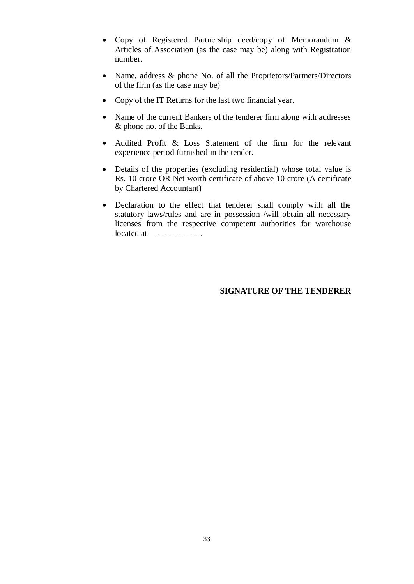- Copy of Registered Partnership deed/copy of Memorandum & Articles of Association (as the case may be) along with Registration number.
- Name, address & phone No. of all the Proprietors/Partners/Directors of the firm (as the case may be)
- Copy of the IT Returns for the last two financial year.
- Name of the current Bankers of the tenderer firm along with addresses & phone no. of the Banks.
- Audited Profit & Loss Statement of the firm for the relevant experience period furnished in the tender.
- Details of the properties (excluding residential) whose total value is Rs. 10 crore OR Net worth certificate of above 10 crore (A certificate by Chartered Accountant)
- Declaration to the effect that tenderer shall comply with all the statutory laws/rules and are in possession /will obtain all necessary licenses from the respective competent authorities for warehouse located at -----------------.

#### **SIGNATURE OF THE TENDERER**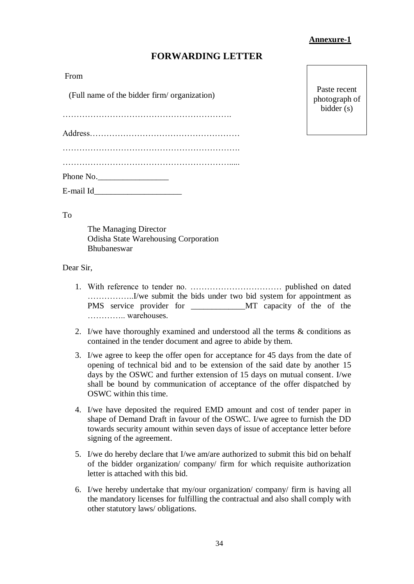#### **Annexure-1**

## **FORWARDING LETTER**

From

(Full name of the bidder firm/ organization)

…………………………………………………….

Address………………………………………………

| Phone No. |  |
|-----------|--|
| E-mail Id |  |

Paste recent photograph of bidder (s)

To

The Managing Director Odisha State Warehousing Corporation Bhubaneswar

#### Dear Sir,

- 1. With reference to tender no. …………………………… published on dated ……………..I/we submit the bids under two bid system for appointment as PMS service provider for T MT capacity of the of the ………….. warehouses.
- 2. I/we have thoroughly examined and understood all the terms & conditions as contained in the tender document and agree to abide by them.
- 3. I/we agree to keep the offer open for acceptance for 45 days from the date of opening of technical bid and to be extension of the said date by another 15 days by the OSWC and further extension of 15 days on mutual consent. I/we shall be bound by communication of acceptance of the offer dispatched by OSWC within this time.
- 4. I/we have deposited the required EMD amount and cost of tender paper in shape of Demand Draft in favour of the OSWC. I/we agree to furnish the DD towards security amount within seven days of issue of acceptance letter before signing of the agreement.
- 5. I/we do hereby declare that I/we am/are authorized to submit this bid on behalf of the bidder organization/ company/ firm for which requisite authorization letter is attached with this bid.
- 6. I/we hereby undertake that my/our organization/ company/ firm is having all the mandatory licenses for fulfilling the contractual and also shall comply with other statutory laws/ obligations.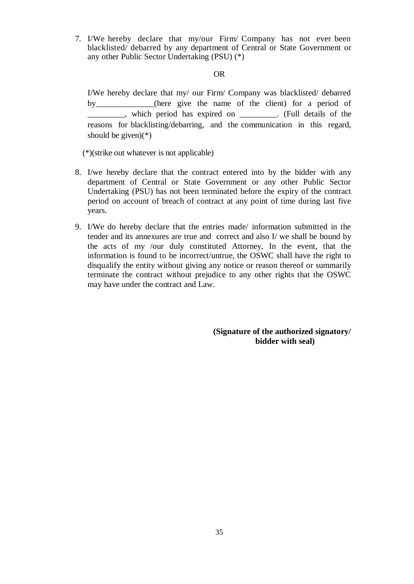7. I/We hereby declare that my/our Firm/ Company has not ever been blacklisted/ debarred by any department of Central or State Government or any other Public Sector Undertaking (PSU) (\*)

#### OR

I/We hereby declare that my/ our Firm/ Company was blacklisted/ debarred by (here give the name of the client) for a period of \_\_\_\_\_\_\_\_\_, which period has expired on \_\_\_\_\_\_\_\_\_. (Full details of the reasons for blacklisting/debarring, and the communication in this regard, should be given) $(*)$ 

(\*)(strike out whatever is not applicable)

- 8. I/we hereby declare that the contract entered into by the bidder with any department of Central or State Government or any other Public Sector Undertaking (PSU) has not been terminated before the expiry of the contract period on account of breach of contract at any point of time during last five years.
- 9. I/We do hereby declare that the entries made/ information submitted in the tender and its annexures are true and correct and also I/ we shall be bound by the acts of my /our duly constituted Attorney, In the event, that the information is found to be incorrect/untrue, the OSWC shall have the right to disqualify the entity without giving any notice or reason thereof or summarily terminate the contract without prejudice to any other rights that the OSWC may have under the contract and Law.

**(Signature of the authorized signatory/ bidder with seal)**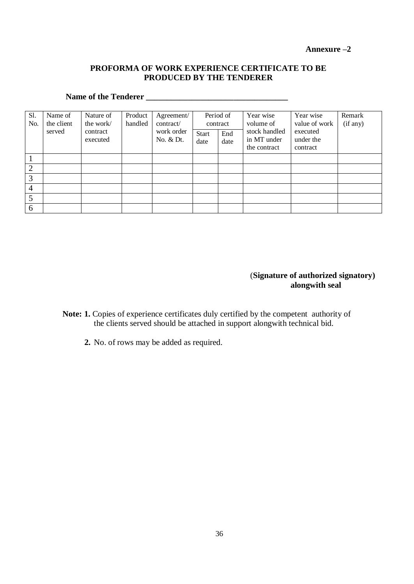**Annexure –2**

## **PROFORMA OF WORK EXPERIENCE CERTIFICATE TO BE PRODUCED BY THE TENDERER**

# **Name of the Tenderer \_\_\_\_\_\_\_\_\_\_\_\_\_\_\_\_\_\_\_\_\_\_\_\_\_\_\_\_\_\_\_\_\_\_**

| Sl.<br>No.     | Name of<br>the client<br>served | Nature of<br>the work/<br>contract<br>executed | Product<br>handled | Agreement/<br>contract/<br>work order<br>No. & Dt. | contract<br><b>Start</b><br>date | Period of<br>End<br>date | Year wise<br>volume of<br>stock handled<br>in MT under<br>the contract | Year wise<br>value of work<br>executed<br>under the<br>contract | Remark<br>(if any) |
|----------------|---------------------------------|------------------------------------------------|--------------------|----------------------------------------------------|----------------------------------|--------------------------|------------------------------------------------------------------------|-----------------------------------------------------------------|--------------------|
|                |                                 |                                                |                    |                                                    |                                  |                          |                                                                        |                                                                 |                    |
| $\overline{2}$ |                                 |                                                |                    |                                                    |                                  |                          |                                                                        |                                                                 |                    |
| 3              |                                 |                                                |                    |                                                    |                                  |                          |                                                                        |                                                                 |                    |
| $\overline{4}$ |                                 |                                                |                    |                                                    |                                  |                          |                                                                        |                                                                 |                    |
|                |                                 |                                                |                    |                                                    |                                  |                          |                                                                        |                                                                 |                    |
| 6              |                                 |                                                |                    |                                                    |                                  |                          |                                                                        |                                                                 |                    |

## (**Signature of authorized signatory) alongwith seal**

- **Note: 1.** Copies of experience certificates duly certified by the competent authority of the clients served should be attached in support alongwith technical bid.
	- **2.** No. of rows may be added as required.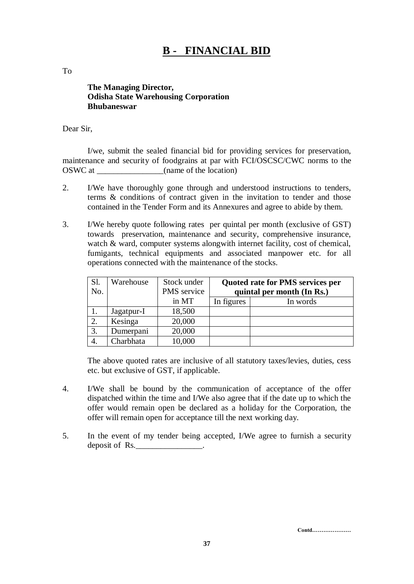# **B - FINANCIAL BID**

To

**The Managing Director, Odisha State Warehousing Corporation Bhubaneswar**

#### Dear Sir,

I/we, submit the sealed financial bid for providing services for preservation, maintenance and security of foodgrains at par with FCI/OSCSC/CWC norms to the OSWC at  $(name of the location)$ 

- 2. I/We have thoroughly gone through and understood instructions to tenders, terms & conditions of contract given in the invitation to tender and those contained in the Tender Form and its Annexures and agree to abide by them.
- 3. I/We hereby quote following rates per quintal per month (exclusive of GST) towards preservation, maintenance and security, comprehensive insurance, watch & ward, computer systems alongwith internet facility, cost of chemical, fumigants, technical equipments and associated manpower etc. for all operations connected with the maintenance of the stocks.

| Sl.<br>No. | Warehouse  | Stock under<br>PMS service | <b>Quoted rate for PMS services per</b><br>quintal per month (In Rs.) |          |
|------------|------------|----------------------------|-----------------------------------------------------------------------|----------|
|            |            | in MT                      | In figures                                                            | In words |
|            | Jagatpur-I | 18,500                     |                                                                       |          |
| 2.         | Kesinga    | 20,000                     |                                                                       |          |
| 3.         | Dumerpani  | 20,000                     |                                                                       |          |
| 4.         | Charbhata  | 10,000                     |                                                                       |          |

The above quoted rates are inclusive of all statutory taxes/levies, duties, cess etc. but exclusive of GST, if applicable.

- 4. I/We shall be bound by the communication of acceptance of the offer dispatched within the time and I/We also agree that if the date up to which the offer would remain open be declared as a holiday for the Corporation, the offer will remain open for acceptance till the next working day.
- 5. In the event of my tender being accepted, I/We agree to furnish a security deposit of Rs.